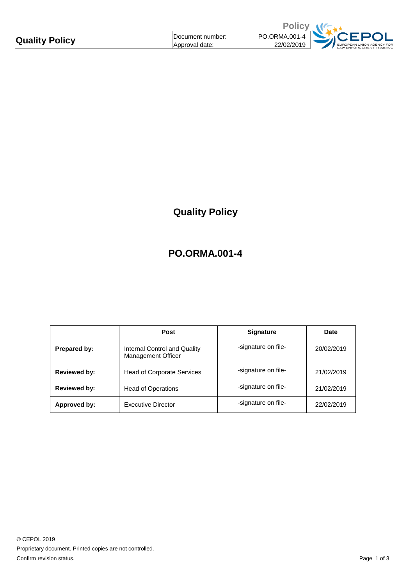| Document number:<br>Approval date: | PO.ORMA.001-4<br>22/02/2019 | EUROPEAN UNION AGENCY FOR<br><b>LAW ENFORCEMENT TRAINING</b> |
|------------------------------------|-----------------------------|--------------------------------------------------------------|
|                                    |                             |                                                              |

## **Quality Policy**

## **PO.ORMA.001-4**

|                     | <b>Post</b>                                        | <b>Signature</b>    | Date       |
|---------------------|----------------------------------------------------|---------------------|------------|
| Prepared by:        | Internal Control and Quality<br>Management Officer | -signature on file- | 20/02/2019 |
| <b>Reviewed by:</b> | <b>Head of Corporate Services</b>                  | -signature on file- | 21/02/2019 |
| <b>Reviewed by:</b> | <b>Head of Operations</b>                          | -signature on file- | 21/02/2019 |
| Approved by:        | Executive Director                                 | -signature on file- | 22/02/2019 |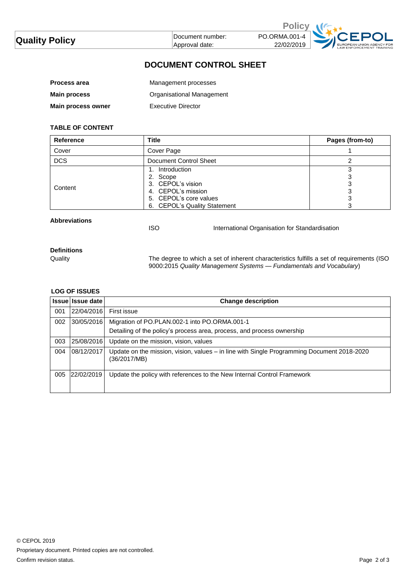| <b>Quality Policy</b> | ⊺Document number: | PO.ORMA.001-4 |                                       |
|-----------------------|-------------------|---------------|---------------------------------------|
|                       | Approval date:    | 22/02/2019    | EUROPEAN UNION AGI<br>LAW ENFORCEMENT |

### **DOCUMENT CONTROL SHEET**

| <b>Process area</b> | Management processes      |
|---------------------|---------------------------|
| <b>Main process</b> | Organisational Management |
| Main process owner  | Executive Director        |

#### **TABLE OF CONTENT**

| <b>Reference</b> | Title                                                                                                                            | Pages (from-to) |
|------------------|----------------------------------------------------------------------------------------------------------------------------------|-----------------|
| Cover            | Cover Page                                                                                                                       |                 |
| <b>DCS</b>       | Document Control Sheet                                                                                                           |                 |
| Content          | 1. Introduction<br>2. Scope<br>3. CEPOL's vision<br>4. CEPOL's mission<br>5. CEPOL's core values<br>6. CEPOL's Quality Statement | J               |

**Abbreviations**

ISO International Organisation for Standardisation

# **Definitions**

Quality The degree to which a set of inherent characteristics fulfills a set of requirements (ISO 9000:2015 *Quality Management Systems — Fundamentals and Vocabulary*)

#### **LOG OF ISSUES**

|     | Issue Issue date | <b>Change description</b>                                                                                  |
|-----|------------------|------------------------------------------------------------------------------------------------------------|
| 001 | 22/04/2016       | First issue                                                                                                |
| 002 | 30/05/2016       | Migration of PO.PLAN.002-1 into PO.ORMA.001-1                                                              |
|     |                  | Detailing of the policy's process area, process, and process ownership                                     |
| 003 | 25/08/2016       | Update on the mission, vision, values                                                                      |
| 004 | 08/12/2017       | Update on the mission, vision, values - in line with Single Programming Document 2018-2020<br>(36/2017/MB) |
| 005 | 22/02/2019       | Update the policy with references to the New Internal Control Framework                                    |